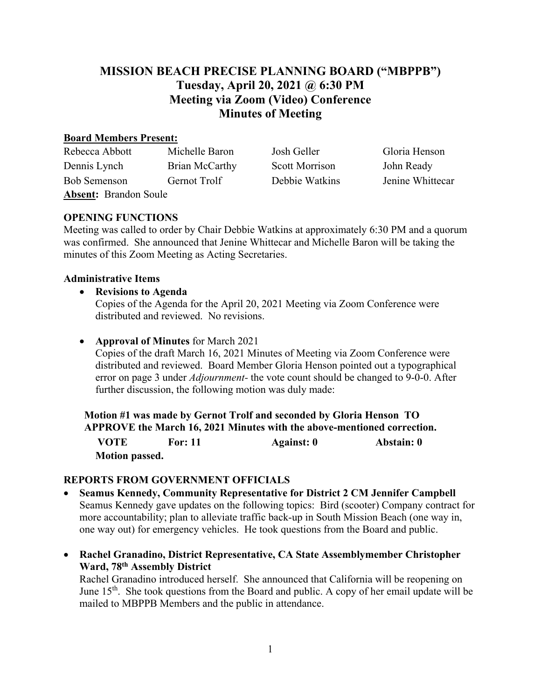# **MISSION BEACH PRECISE PLANNING BOARD ("MBPPB") Tuesday, April 20, 2021 @ 6:30 PM Meeting via Zoom (Video) Conference Minutes of Meeting**

#### **Board Members Present:**

| Rebecca Abbott               | Michelle Baron | Josh Geller           | Gloria Henson    |  |
|------------------------------|----------------|-----------------------|------------------|--|
| Dennis Lynch                 | Brian McCarthy | <b>Scott Morrison</b> | John Ready       |  |
| Bob Semenson                 | Gernot Trolf   | Debbie Watkins        | Jenine Whittecar |  |
| <b>Absent: Brandon Soule</b> |                |                       |                  |  |

## **OPENING FUNCTIONS**

Meeting was called to order by Chair Debbie Watkins at approximately 6:30 PM and a quorum was confirmed. She announced that Jenine Whittecar and Michelle Baron will be taking the minutes of this Zoom Meeting as Acting Secretaries.

#### **Administrative Items**

- **Revisions to Agenda**  Copies of the Agenda for the April 20, 2021 Meeting via Zoom Conference were distributed and reviewed. No revisions.
- **Approval of Minutes** for March 2021

Copies of the draft March 16, 2021 Minutes of Meeting via Zoom Conference were distributed and reviewed. Board Member Gloria Henson pointed out a typographical error on page 3 under *Adjournment-* the vote count should be changed to 9-0-0. After further discussion, the following motion was duly made:

**Motion #1 was made by Gernot Trolf and seconded by Gloria Henson TO APPROVE the March 16, 2021 Minutes with the above-mentioned correction. VOTE For: 11 Against: 0 Abstain: 0 Motion passed.** 

## **REPORTS FROM GOVERNMENT OFFICIALS**

- **Seamus Kennedy, Community Representative for District 2 CM Jennifer Campbell** Seamus Kennedy gave updates on the following topics: Bird (scooter) Company contract for more accountability; plan to alleviate traffic back-up in South Mission Beach (one way in, one way out) for emergency vehicles. He took questions from the Board and public.
- **Rachel Granadino, District Representative, CA State Assemblymember Christopher Ward, 78th Assembly District**

Rachel Granadino introduced herself. She announced that California will be reopening on June  $15<sup>th</sup>$ . She took questions from the Board and public. A copy of her email update will be mailed to MBPPB Members and the public in attendance.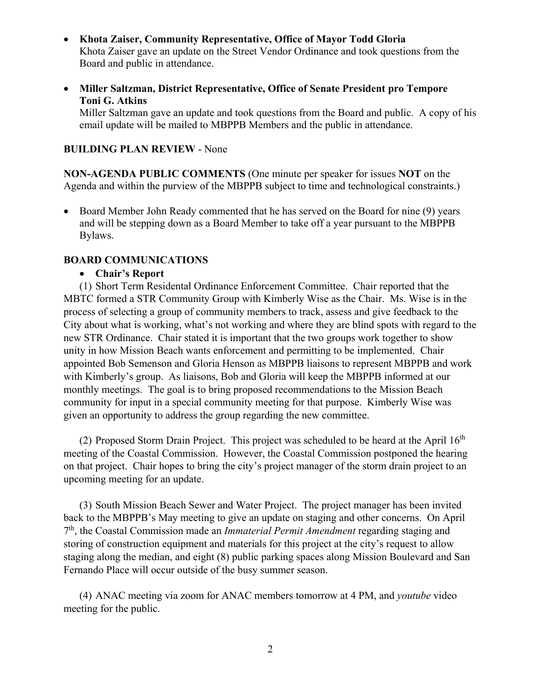- **Khota Zaiser, Community Representative, Office of Mayor Todd Gloria**  Khota Zaiser gave an update on the Street Vendor Ordinance and took questions from the Board and public in attendance.
- **Miller Saltzman, District Representative, Office of Senate President pro Tempore Toni G. Atkins**

Miller Saltzman gave an update and took questions from the Board and public. A copy of his email update will be mailed to MBPPB Members and the public in attendance.

#### **BUILDING PLAN REVIEW** - None

**NON-AGENDA PUBLIC COMMENTS** (One minute per speaker for issues **NOT** on the Agenda and within the purview of the MBPPB subject to time and technological constraints.)

• Board Member John Ready commented that he has served on the Board for nine (9) years and will be stepping down as a Board Member to take off a year pursuant to the MBPPB Bylaws.

#### **BOARD COMMUNICATIONS**

#### • **Chair's Report**

(1) Short Term Residental Ordinance Enforcement Committee. Chair reported that the MBTC formed a STR Community Group with Kimberly Wise as the Chair. Ms. Wise is in the process of selecting a group of community members to track, assess and give feedback to the City about what is working, what's not working and where they are blind spots with regard to the new STR Ordinance. Chair stated it is important that the two groups work together to show unity in how Mission Beach wants enforcement and permitting to be implemented. Chair appointed Bob Semenson and Gloria Henson as MBPPB liaisons to represent MBPPB and work with Kimberly's group. As liaisons, Bob and Gloria will keep the MBPPB informed at our monthly meetings. The goal is to bring proposed recommendations to the Mission Beach community for input in a special community meeting for that purpose. Kimberly Wise was given an opportunity to address the group regarding the new committee.

(2) Proposed Storm Drain Project. This project was scheduled to be heard at the April  $16<sup>th</sup>$ meeting of the Coastal Commission. However, the Coastal Commission postponed the hearing on that project. Chair hopes to bring the city's project manager of the storm drain project to an upcoming meeting for an update.

(3) South Mission Beach Sewer and Water Project. The project manager has been invited back to the MBPPB's May meeting to give an update on staging and other concerns. On April 7th, the Coastal Commission made an *Immaterial Permit Amendment* regarding staging and storing of construction equipment and materials for this project at the city's request to allow staging along the median, and eight (8) public parking spaces along Mission Boulevard and San Fernando Place will occur outside of the busy summer season.

(4) ANAC meeting via zoom for ANAC members tomorrow at 4 PM, and *youtube* video meeting for the public.